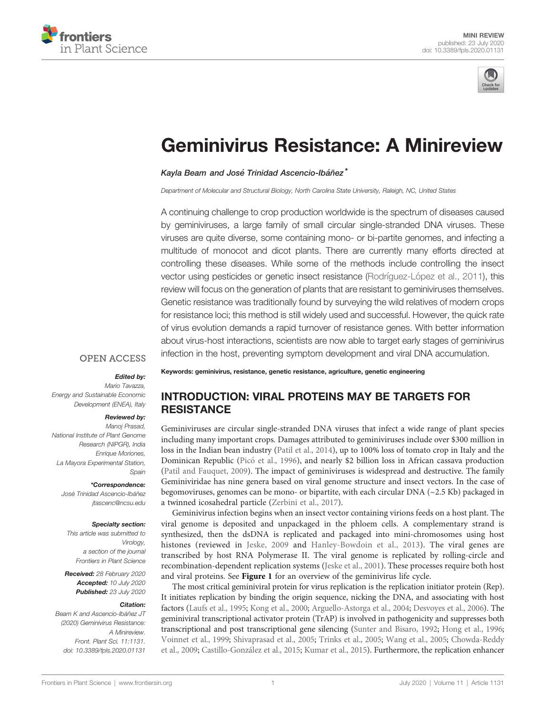



# [Geminivirus Resistance: A Minireview](https://www.frontiersin.org/articles/10.3389/fpls.2020.01131/full)

[Kayla Beam](https://loop.frontiersin.org/people/920234) and José Trinidad Ascencio-Ibáñez\*

Department of Molecular and Structural Biology, North Carolina State University, Raleigh, NC, United States

A continuing challenge to crop production worldwide is the spectrum of diseases caused by geminiviruses, a large family of small circular single-stranded DNA viruses. These viruses are quite diverse, some containing mono- or bi-partite genomes, and infecting a multitude of monocot and dicot plants. There are currently many efforts directed at controlling these diseases. While some of the methods include controlling the insect vector using pesticides or genetic insect resistance (Rodríguez-Ló[pez et al., 2011\)](#page-7-0), this review will focus on the generation of plants that are resistant to geminiviruses themselves. Genetic resistance was traditionally found by surveying the wild relatives of modern crops for resistance loci; this method is still widely used and successful. However, the quick rate of virus evolution demands a rapid turnover of resistance genes. With better information about virus-host interactions, scientists are now able to target early stages of geminivirus infection in the host, preventing symptom development and viral DNA accumulation.

#### **OPEN ACCESS**

#### Edited by:

Mario Tavazza, Energy and Sustainable Economic Development (ENEA), Italy

#### Reviewed by:

Manoj Prasad, National Institute of Plant Genome Research (NIPGR), India Enrique Moriones, La Mayora Experimental Station, Spain

#### \*Correspondence:

José Trinidad Ascencio-Ibáñez [jtascenc@ncsu.edu](mailto:jtascenc@ncsu.edu)

#### Specialty section:

This article was submitted to Virology, a section of the journal Frontiers in Plant Science

Received: 28 February 2020 Accepted: 10 July 2020 Published: 23 July 2020

#### Citation:

Beam K and Ascencio-Ibáñez JT (2020) Geminivirus Resistance: A Minireview Front. Plant Sci. 11:1131. [doi: 10.3389/fpls.2020.01131](https://doi.org/10.3389/fpls.2020.01131) Keywords: geminivirus, resistance, genetic resistance, agriculture, genetic engineering

## INTRODUCTION: VIRAL PROTEINS MAY BE TARGETS FOR **RESISTANCE**

Geminiviruses are circular single-stranded DNA viruses that infect a wide range of plant species including many important crops. Damages attributed to geminiviruses include over \$300 million in loss in the Indian bean industry [\(Patil et al., 2014\)](#page-7-0), up to 100% loss of tomato crop in Italy and the Dominican Republic (Picó [et al., 1996\)](#page-7-0), and nearly \$2 billion loss in African cassava production [\(Patil and Fauquet, 2009](#page-7-0)). The impact of geminiviruses is widespread and destructive. The family Geminiviridae has nine genera based on viral genome structure and insect vectors. In the case of begomoviruses, genomes can be mono- or bipartite, with each circular DNA  $(\sim 2.5 \text{ Kb})$  packaged in a twinned icosahedral particle ([Zerbini et al., 2017\)](#page-8-0).

Geminivirus infection begins when an insect vector containing virions feeds on a host plant. The viral genome is deposited and unpackaged in the phloem cells. A complementary strand is synthesized, then the dsDNA is replicated and packaged into mini-chromosomes using host histones (reviewed in [Jeske, 2009](#page-6-0) and [Hanley-Bowdoin et al., 2013](#page-6-0)). The viral genes are transcribed by host RNA Polymerase II. The viral genome is replicated by rolling-circle and recombination-dependent replication systems [\(Jeske et al., 2001](#page-6-0)). These processes require both host and viral proteins. See [Figure 1](#page-1-0) for an overview of the geminivirus life cycle.

The most critical geminiviral protein for virus replication is the replication initiator protein (Rep). It initiates replication by binding the origin sequence, nicking the DNA, and associating with host factors [\(Laufs et al., 1995](#page-7-0); [Kong et al., 2000](#page-6-0); [Arguello-Astorga et al., 2004](#page-5-0); [Desvoyes et al., 2006\)](#page-6-0). The geminiviral transcriptional activator protein (TrAP) is involved in pathogenicity and suppresses both transcriptional and post transcriptional gene silencing [\(Sunter and Bisaro, 1992](#page-8-0); [Hong et al., 1996;](#page-6-0) [Voinnet et al., 1999;](#page-8-0) [Shivaprasad et al., 2005;](#page-8-0) [Trinks et al., 2005;](#page-8-0) [Wang et al., 2005](#page-8-0); [Chowda-Reddy](#page-6-0) [et al., 2009](#page-6-0); Castillo-González et al., 2015; [Kumar et al., 2015](#page-6-0)). Furthermore, the replication enhancer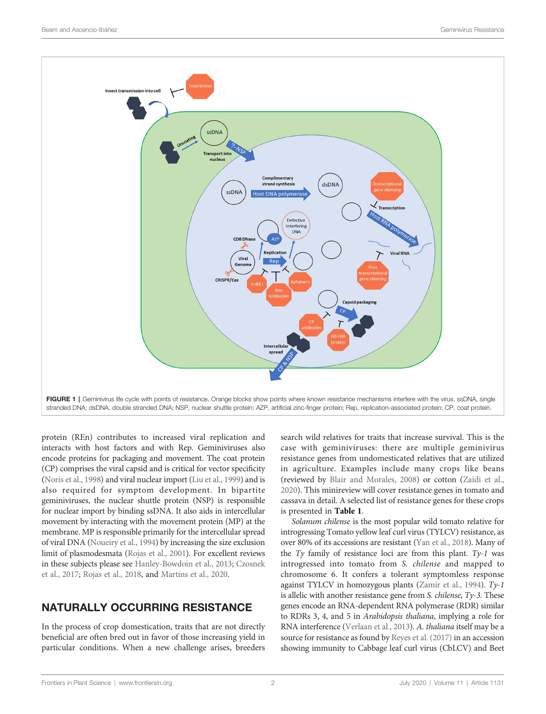<span id="page-1-0"></span>

protein (REn) contributes to increased viral replication and interacts with host factors and with Rep. Geminiviruses also encode proteins for packaging and movement. The coat protein (CP) comprises the viral capsid and is critical for vector specificity ([Noris et al., 1998\)](#page-7-0) and viral nuclear import [\(Liu et al., 1999](#page-7-0)) and is also required for symptom development. In bipartite geminiviruses, the nuclear shuttle protein (NSP) is responsible for nuclear import by binding ssDNA. It also aids in intercellular movement by interacting with the movement protein (MP) at the membrane. MP is responsible primarily for the intercellular spread of viral DNA [\(Noueiry et al., 1994\)](#page-7-0) by increasing the size exclusion limit of plasmodesmata [\(Rojas et al., 2001\)](#page-7-0). For excellent reviews in these subjects please see [Hanley-Bowdoin et al., 2013;](#page-6-0) [Czosnek](#page-6-0) [et al., 2017;](#page-6-0) [Rojas et al., 2018,](#page-7-0) and [Martins et al., 2020](#page-7-0).

# NATURALLY OCCURRING RESISTANCE

In the process of crop domestication, traits that are not directly beneficial are often bred out in favor of those increasing yield in particular conditions. When a new challenge arises, breeders

search wild relatives for traits that increase survival. This is the case with geminiviruses: there are multiple geminivirus resistance genes from undomesticated relatives that are utilized in agriculture. Examples include many crops like beans (reviewed by [Blair and Morales, 2008](#page-6-0)) or cotton ([Zaidi et al.,](#page-8-0) [2020](#page-8-0)). This minireview will cover resistance genes in tomato and cassava in detail. A selected list of resistance genes for these crops is presented in [Table 1](#page-2-0).

Solanum chilense is the most popular wild tomato relative for introgressing Tomato yellow leaf curl virus (TYLCV) resistance, as over 80% of its accessions are resistant [\(Yan et al., 2018\)](#page-8-0). Many of the  $Ty$  family of resistance loci are from this plant.  $Ty-1$  was introgressed into tomato from S. chilense and mapped to chromosome 6. It confers a tolerant symptomless response against TYLCV in homozygous plants [\(Zamir et al., 1994](#page-8-0)). Ty-1 is allelic with another resistance gene from S. chilense, Ty-3. These genes encode an RNA-dependent RNA polymerase (RDR) similar to RDRs 3, 4, and 5 in Arabidopsis thaliana, implying a role for RNA interference ([Verlaan et al., 2013\)](#page-8-0). A. thaliana itself may be a source for resistance as found by [Reyes et al. \(2017\)](#page-7-0) in an accession showing immunity to Cabbage leaf curl virus (CbLCV) and Beet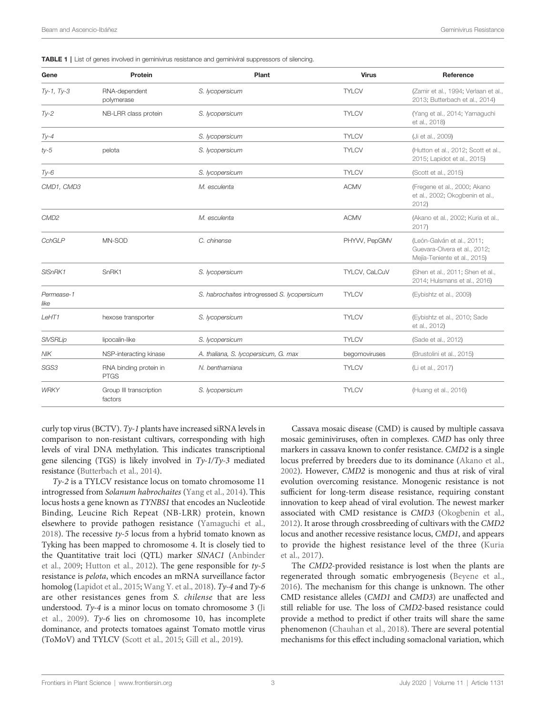<span id="page-2-0"></span>

| Gene               | Protein                               | Plant                                        | <b>Virus</b>  | Reference                                                                                  |
|--------------------|---------------------------------------|----------------------------------------------|---------------|--------------------------------------------------------------------------------------------|
| $Ty-1, Ty-3$       | RNA-dependent<br>polymerase           | S. lycopersicum                              | <b>TYLCV</b>  | (Zamir et al., 1994; Verlaan et al.,<br>2013; Butterbach et al., 2014)                     |
| $Ty-2$             | NB-LRR class protein                  | S. lycopersicum                              | <b>TYLCV</b>  | (Yang et al., 2014; Yamaguchi<br>et al., 2018)                                             |
| $Ty-4$             |                                       | S. lycopersicum                              | <b>TYLCV</b>  | (Ji et al., 2009)                                                                          |
| $ty-5$             | pelota                                | S. lycopersicum                              | <b>TYLCV</b>  | (Hutton et al., 2012; Scott et al.,<br>2015; Lapidot et al., 2015)                         |
| $Ty-6$             |                                       | S. lycopersicum                              | <b>TYLCV</b>  | (Scott et al., 2015)                                                                       |
| CMD1, CMD3         |                                       | M. esculenta                                 | <b>ACMV</b>   | (Fregene et al., 2000; Akano<br>et al., 2002; Okogbenin et al.,<br>2012)                   |
| CMD <sub>2</sub>   |                                       | M. esculenta                                 | <b>ACMV</b>   | (Akano et al., 2002; Kuria et al.,<br>2017                                                 |
| CchGLP             | MN-SOD                                | C. chinense                                  | PHYW, PepGMV  | (León-Galván et al., 2011;<br>Guevara-Olvera et al., 2012;<br>Mejía-Teniente et al., 2015) |
| SISnRK1            | SnRK1                                 | S. lycopersicum                              | TYLCV, CaLCuV | (Shen et al., 2011; Shen et al.,<br>2014; Hulsmans et al., 2016)                           |
| Permease-1<br>like |                                       | S. habrochaites introgressed S. lycopersicum | <b>TYLCV</b>  | (Eybishtz et al., 2009)                                                                    |
| LeHT1              | hexose transporter                    | S. lycopersicum                              | <b>TYLCV</b>  | (Eybishtz et al., 2010; Sade<br>et al., 2012)                                              |
| <b>SIVSRLip</b>    | lipocalin-like                        | S. Iycopersicum                              | <b>TYLCV</b>  | (Sade et al., 2012)                                                                        |
| <b>NIK</b>         | NSP-interacting kinase                | A. thaliana, S. lycopersicum, G. max         | begomoviruses | (Brustolini et al., 2015)                                                                  |
| SGS3               | RNA binding protein in<br><b>PTGS</b> | N. benthamiana                               | <b>TYLCV</b>  | (Li et al., 2017)                                                                          |
| <b>WRKY</b>        | Group III transcription<br>factors    | S. lycopersicum                              | <b>TYLCV</b>  | (Huang et al., 2016)                                                                       |

curly top virus (BCTV). Ty-1 plants have increased siRNA levels in comparison to non-resistant cultivars, corresponding with high levels of viral DNA methylation. This indicates transcriptional gene silencing (TGS) is likely involved in  $Ty-1/Ty-3$  mediated resistance [\(Butterbach et al., 2014](#page-6-0)).

Ty-2 is a TYLCV resistance locus on tomato chromosome 11 introgressed from Solanum habrochaites ([Yang et al., 2014\)](#page-8-0). This locus hosts a gene known as TYNBS1 that encodes an Nucleotide Binding, Leucine Rich Repeat (NB-LRR) protein, known elsewhere to provide pathogen resistance ([Yamaguchi et al.,](#page-8-0) [2018\)](#page-8-0). The recessive  $ty-5$  locus from a hybrid tomato known as Tyking has been mapped to chromosome 4. It is closely tied to the Quantitative trait loci (QTL) marker SlNAC1 ([Anbinder](#page-5-0) [et al., 2009;](#page-5-0) [Hutton et al., 2012\)](#page-6-0). The gene responsible for ty-5 resistance is pelota, which encodes an mRNA surveillance factor homolog ([Lapidot et al., 2015;](#page-7-0) [Wang Y. et al., 2018\)](#page-8-0). Ty-4 and Ty-6 are other resistances genes from S. chilense that are less understood. Ty-4 is a minor locus on tomato chromosome 3 ([Ji](#page-6-0) [et al., 2009\)](#page-6-0).  $Ty-6$  lies on chromosome 10, has incomplete dominance, and protects tomatoes against Tomato mottle virus (ToMoV) and TYLCV [\(Scott et al., 2015](#page-8-0); [Gill et al., 2019\)](#page-6-0).

Cassava mosaic disease (CMD) is caused by multiple cassava mosaic geminiviruses, often in complexes. CMD has only three markers in cassava known to confer resistance. CMD2 is a single locus preferred by breeders due to its dominance [\(Akano et al.,](#page-5-0) [2002](#page-5-0)). However, CMD2 is monogenic and thus at risk of viral evolution overcoming resistance. Monogenic resistance is not sufficient for long-term disease resistance, requiring constant innovation to keep ahead of viral evolution. The newest marker associated with CMD resistance is CMD3 [\(Okogbenin et al.,](#page-7-0) [2012](#page-7-0)). It arose through crossbreeding of cultivars with the CMD2 locus and another recessive resistance locus, CMD1, and appears to provide the highest resistance level of the three ([Kuria](#page-7-0) [et al., 2017\)](#page-7-0).

The CMD2-provided resistance is lost when the plants are regenerated through somatic embryogenesis [\(Beyene et al.,](#page-6-0) [2016](#page-6-0)). The mechanism for this change is unknown. The other CMD resistance alleles (CMD1 and CMD3) are unaffected and still reliable for use. The loss of CMD2-based resistance could provide a method to predict if other traits will share the same phenomenon ([Chauhan et al., 2018\)](#page-6-0). There are several potential mechanisms for this effect including somaclonal variation, which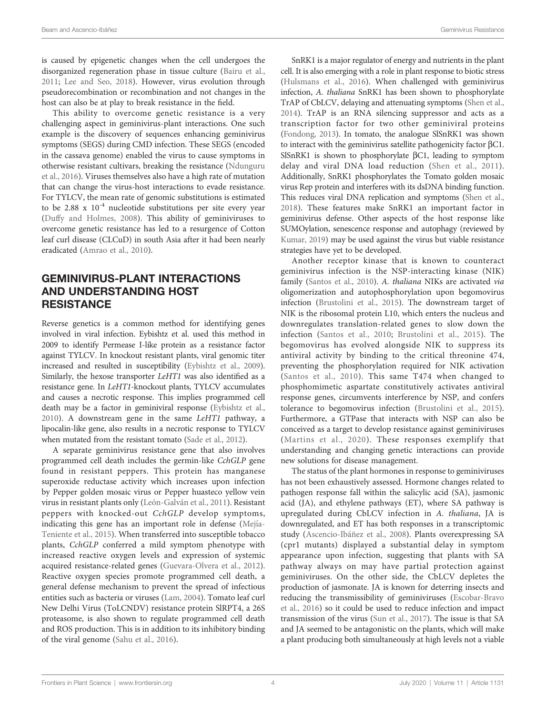is caused by epigenetic changes when the cell undergoes the disorganized regeneration phase in tissue culture ([Bairu et al.,](#page-6-0) [2011;](#page-6-0) [Lee and Seo, 2018\)](#page-7-0). However, virus evolution through pseudorecombination or recombination and not changes in the host can also be at play to break resistance in the field.

This ability to overcome genetic resistance is a very challenging aspect in geminivirus-plant interactions. One such example is the discovery of sequences enhancing geminivirus symptoms (SEGS) during CMD infection. These SEGS (encoded in the cassava genome) enabled the virus to cause symptoms in otherwise resistant cultivars, breaking the resistance [\(Ndunguru](#page-7-0) [et al., 2016](#page-7-0)). Viruses themselves also have a high rate of mutation that can change the virus-host interactions to evade resistance. For TYLCV, the mean rate of genomic substitutions is estimated to be 2.88 x  $10^{-4}$  nucleotide substitutions per site every year ([Duffy and Holmes, 2008\)](#page-6-0). This ability of geminiviruses to overcome genetic resistance has led to a resurgence of Cotton leaf curl disease (CLCuD) in south Asia after it had been nearly eradicated [\(Amrao et al., 2010](#page-5-0)).

# GEMINIVIRUS-PLANT INTERACTIONS AND UNDERSTANDING HOST **RESISTANCE**

Reverse genetics is a common method for identifying genes involved in viral infection. Eybishtz et al. used this method in 2009 to identify Permease I-like protein as a resistance factor against TYLCV. In knockout resistant plants, viral genomic titer increased and resulted in susceptibility [\(Eybishtz et al., 2009\)](#page-6-0). Similarly, the hexose transporter LeHT1 was also identified as a resistance gene. In LeHT1-knockout plants, TYLCV accumulates and causes a necrotic response. This implies programmed cell death may be a factor in geminiviral response ([Eybishtz et al.,](#page-6-0) [2010\)](#page-6-0). A downstream gene in the same LeHT1 pathway, a lipocalin-like gene, also results in a necrotic response to TYLCV when mutated from the resistant tomato [\(Sade et al., 2012](#page-7-0)).

A separate geminivirus resistance gene that also involves programmed cell death includes the germin-like CchGLP gene found in resistant peppers. This protein has manganese superoxide reductase activity which increases upon infection by Pepper golden mosaic virus or Pepper huasteco yellow vein virus in resistant plants only (León-Galvá[n et al., 2011\)](#page-7-0). Resistant peppers with knocked-out CchGLP develop symptoms, indicating this gene has an important role in defense [\(Mej](#page-7-0)́ıa-[Teniente et al., 2015](#page-7-0)). When transferred into susceptible tobacco plants, CchGLP conferred a mild symptom phenotype with increased reactive oxygen levels and expression of systemic acquired resistance-related genes ([Guevara-Olvera et al., 2012\)](#page-6-0). Reactive oxygen species promote programmed cell death, a general defense mechanism to prevent the spread of infectious entities such as bacteria or viruses [\(Lam, 2004\)](#page-7-0). Tomato leaf curl New Delhi Virus (ToLCNDV) resistance protein SlRPT4, a 26S proteasome, is also shown to regulate programmed cell death and ROS production. This is in addition to its inhibitory binding of the viral genome [\(Sahu et al., 2016](#page-8-0)).

SnRK1 is a major regulator of energy and nutrients in the plant cell. It is also emerging with a role in plant response to biotic stress [\(Hulsmans et al., 2016\)](#page-6-0). When challenged with geminivirus infection, A. thaliana SnRK1 has been shown to phosphorylate TrAP of CbLCV, delaying and attenuating symptoms ([Shen et al.,](#page-8-0) [2014](#page-8-0)). TrAP is an RNA silencing suppressor and acts as a transcription factor for two other geminiviral proteins [\(Fondong, 2013](#page-6-0)). In tomato, the analogue SlSnRK1 was shown to interact with the geminivirus satellite pathogenicity factor  $\beta$ C1. SISnRK1 is shown to phosphorylate  $\beta$ C1, leading to symptom delay and viral DNA load reduction [\(Shen et al., 2011](#page-8-0)). Additionally, SnRK1 phosphorylates the Tomato golden mosaic virus Rep protein and interferes with its dsDNA binding function. This reduces viral DNA replication and symptoms [\(Shen et al.,](#page-8-0) [2018\)](#page-8-0). These features make SnRK1 an important factor in geminivirus defense. Other aspects of the host response like SUMOylation, senescence response and autophagy (reviewed by [Kumar, 2019\)](#page-7-0) may be used against the virus but viable resistance strategies have yet to be developed.

Another receptor kinase that is known to counteract geminivirus infection is the NSP-interacting kinase (NIK) family ([Santos et al., 2010](#page-8-0)). A. thaliana NIKs are activated via oligomerization and autophosphorylation upon begomovirus infection ([Brustolini et al., 2015\)](#page-6-0). The downstream target of NIK is the ribosomal protein L10, which enters the nucleus and downregulates translation-related genes to slow down the infection [\(Santos et al., 2010;](#page-8-0) [Brustolini et al., 2015](#page-6-0)). The begomovirus has evolved alongside NIK to suppress its antiviral activity by binding to the critical threonine 474, preventing the phosphorylation required for NIK activation ([Santos et al., 2010\)](#page-8-0). This same T474 when changed to phosphomimetic aspartate constitutively activates antiviral response genes, circumvents interference by NSP, and confers tolerance to begomovirus infection ([Brustolini et al., 2015](#page-6-0)). Furthermore, a GTPase that interacts with NSP can also be conceived as a target to develop resistance against geminiviruses ([Martins et al., 2020](#page-7-0)). These responses exemplify that understanding and changing genetic interactions can provide new solutions for disease management.

The status of the plant hormones in response to geminiviruses has not been exhaustively assessed. Hormone changes related to pathogen response fall within the salicylic acid (SA), jasmonic acid (JA), and ethylene pathways (ET), where SA pathway is upregulated during CbLCV infection in A. thaliana, JA is downregulated, and ET has both responses in a transcriptomic study (Ascencio-Ibá[ñez et al., 2008](#page-5-0)). Plants overexpressing SA (cpr1 mutants) displayed a substantial delay in symptom appearance upon infection, suggesting that plants with SA pathway always on may have partial protection against geminiviruses. On the other side, the CbLCV depletes the production of jasmonate. JA is known for deterring insects and reducing the transmissibility of geminiviruses [\(Escobar-Bravo](#page-6-0) [et al., 2016](#page-6-0)) so it could be used to reduce infection and impact transmission of the virus [\(Sun et al., 2017\)](#page-8-0). The issue is that SA and JA seemed to be antagonistic on the plants, which will make a plant producing both simultaneously at high levels not a viable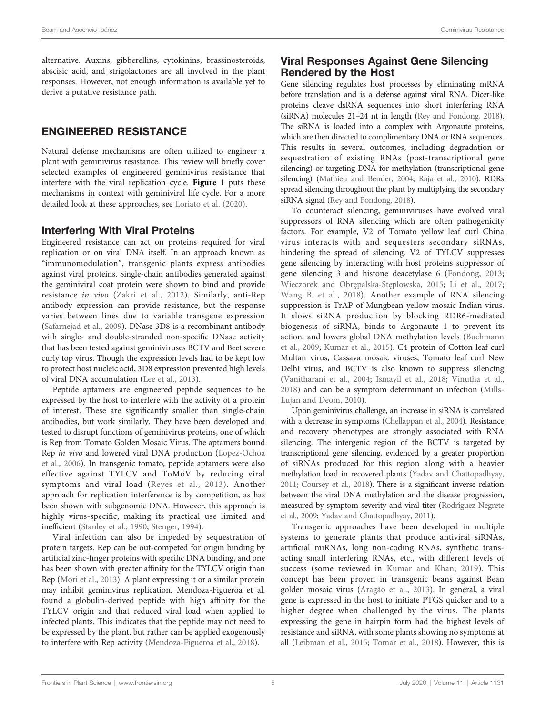alternative. Auxins, gibberellins, cytokinins, brassinosteroids, abscisic acid, and strigolactones are all involved in the plant responses. However, not enough information is available yet to derive a putative resistance path.

## ENGINEERED RESISTANCE

Natural defense mechanisms are often utilized to engineer a plant with geminivirus resistance. This review will briefly cover selected examples of engineered geminivirus resistance that interfere with the viral replication cycle. [Figure 1](#page-1-0) puts these mechanisms in context with geminiviral life cycle. For a more detailed look at these approaches, see [Loriato et al. \(2020\).](#page-7-0)

### Interfering With Viral Proteins

Engineered resistance can act on proteins required for viral replication or on viral DNA itself. In an approach known as "immunomodulation", transgenic plants express antibodies against viral proteins. Single-chain antibodies generated against the geminiviral coat protein were shown to bind and provide resistance in vivo ([Zakri et al., 2012](#page-8-0)). Similarly, anti-Rep antibody expression can provide resistance, but the response varies between lines due to variable transgene expression ([Safarnejad et al., 2009\)](#page-8-0). DNase 3D8 is a recombinant antibody with single- and double-stranded non-specific DNase activity that has been tested against geminiviruses BCTV and Beet severe curly top virus. Though the expression levels had to be kept low to protect host nucleic acid, 3D8 expression prevented high levels of viral DNA accumulation [\(Lee et al., 2013\)](#page-7-0).

Peptide aptamers are engineered peptide sequences to be expressed by the host to interfere with the activity of a protein of interest. These are significantly smaller than single-chain antibodies, but work similarly. They have been developed and tested to disrupt functions of geminivirus proteins, one of which is Rep from Tomato Golden Mosaic Virus. The aptamers bound Rep in vivo and lowered viral DNA production [\(Lopez-Ochoa](#page-7-0) [et al., 2006\)](#page-7-0). In transgenic tomato, peptide aptamers were also effective against TYLCV and ToMoV by reducing viral symptoms and viral load ([Reyes et al., 2013\)](#page-7-0). Another approach for replication interference is by competition, as has been shown with subgenomic DNA. However, this approach is highly virus-specific, making its practical use limited and inefficient ([Stanley et al., 1990](#page-8-0); [Stenger, 1994\)](#page-8-0).

Viral infection can also be impeded by sequestration of protein targets. Rep can be out-competed for origin binding by artificial zinc-finger proteins with specific DNA binding, and one has been shown with greater affinity for the TYLCV origin than Rep ([Mori et al., 2013\)](#page-7-0). A plant expressing it or a similar protein may inhibit geminivirus replication. Mendoza-Figueroa et al. found a globulin-derived peptide with high affinity for the TYLCV origin and that reduced viral load when applied to infected plants. This indicates that the peptide may not need to be expressed by the plant, but rather can be applied exogenously to interfere with Rep activity ([Mendoza-Figueroa et al., 2018\)](#page-7-0).

# Viral Responses Against Gene Silencing Rendered by the Host

Gene silencing regulates host processes by eliminating mRNA before translation and is a defense against viral RNA. Dicer-like proteins cleave dsRNA sequences into short interfering RNA (siRNA) molecules 21–24 nt in length [\(Rey and Fondong, 2018\)](#page-7-0). The siRNA is loaded into a complex with Argonaute proteins, which are then directed to complimentary DNA or RNA sequences. This results in several outcomes, including degradation or sequestration of existing RNAs (post-transcriptional gene silencing) or targeting DNA for methylation (transcriptional gene silencing) [\(Mathieu and Bender, 2004](#page-7-0); [Raja et al., 2010](#page-7-0)). RDRs spread silencing throughout the plant by multiplying the secondary siRNA signal [\(Rey and Fondong, 2018\)](#page-7-0).

To counteract silencing, geminiviruses have evolved viral suppressors of RNA silencing which are often pathogenicity factors. For example, V2 of Tomato yellow leaf curl China virus interacts with and sequesters secondary siRNAs, hindering the spread of silencing. V2 of TYLCV suppresses gene silencing by interacting with host proteins suppressor of gene silencing 3 and histone deacetylase 6 [\(Fondong, 2013;](#page-6-0) [Wieczorek and Obr](#page-8-0)ępalska-Stęplowska, 2015; [Li et al., 2017;](#page-7-0) [Wang B. et al., 2018\)](#page-8-0). Another example of RNA silencing suppression is TrAP of Mungbean yellow mosaic Indian virus. It slows siRNA production by blocking RDR6-mediated biogenesis of siRNA, binds to Argonaute 1 to prevent its action, and lowers global DNA methylation levels [\(Buchmann](#page-6-0) [et al., 2009](#page-6-0); [Kumar et al., 2015](#page-6-0)). C4 protein of Cotton leaf curl Multan virus, Cassava mosaic viruses, Tomato leaf curl New Delhi virus, and BCTV is also known to suppress silencing [\(Vanitharani et al., 2004;](#page-8-0) [Ismayil et al., 2018](#page-6-0); [Vinutha et al.,](#page-8-0) [2018](#page-8-0)) and can be a symptom determinant in infection [\(Mills-](#page-7-0)[Lujan and Deom, 2010](#page-7-0)).

Upon geminivirus challenge, an increase in siRNA is correlated with a decrease in symptoms [\(Chellappan et al., 2004](#page-6-0)). Resistance and recovery phenotypes are strongly associated with RNA silencing. The intergenic region of the BCTV is targeted by transcriptional gene silencing, evidenced by a greater proportion of siRNAs produced for this region along with a heavier methylation load in recovered plants [\(Yadav and Chattopadhyay,](#page-8-0) [2011;](#page-8-0) [Coursey et al., 2018\)](#page-6-0). There is a significant inverse relation between the viral DNA methylation and the disease progression, measured by symptom severity and viral titer (Rodrí[guez-Negrete](#page-7-0) [et al., 2009;](#page-7-0) [Yadav and Chattopadhyay, 2011\)](#page-8-0).

Transgenic approaches have been developed in multiple systems to generate plants that produce antiviral siRNAs, artificial miRNAs, long non-coding RNAs, synthetic transacting small interfering RNAs, etc., with different levels of success (some reviewed in [Kumar and Khan, 2019\)](#page-6-0). This concept has been proven in transgenic beans against Bean golden mosaic virus ([Aragão et al., 2013\)](#page-5-0). In general, a viral gene is expressed in the host to initiate PTGS quicker and to a higher degree when challenged by the virus. The plants expressing the gene in hairpin form had the highest levels of resistance and siRNA, with some plants showing no symptoms at all ([Leibman et al., 2015;](#page-7-0) [Tomar et al., 2018](#page-8-0)). However, this is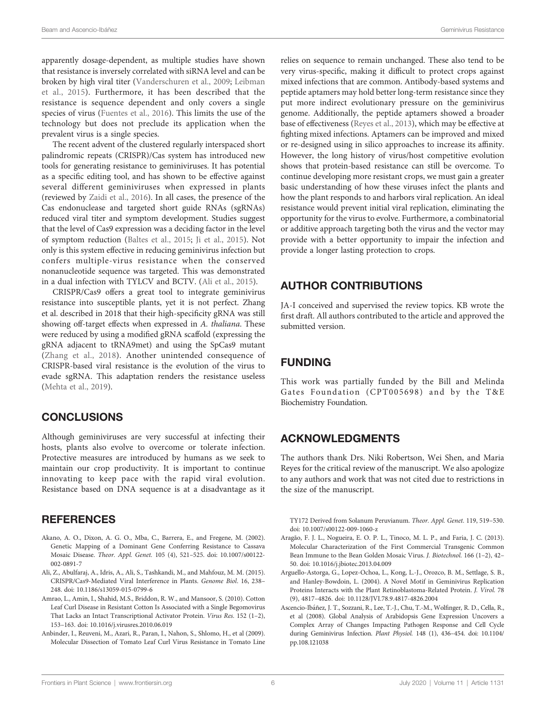<span id="page-5-0"></span>apparently dosage-dependent, as multiple studies have shown that resistance is inversely correlated with siRNA level and can be broken by high viral titer [\(Vanderschuren et al., 2009;](#page-8-0) [Leibman](#page-7-0) [et al., 2015\)](#page-7-0). Furthermore, it has been described that the resistance is sequence dependent and only covers a single species of virus [\(Fuentes et al., 2016](#page-6-0)). This limits the use of the technology but does not preclude its application when the prevalent virus is a single species.

The recent advent of the clustered regularly interspaced short palindromic repeats (CRISPR)/Cas system has introduced new tools for generating resistance to geminiviruses. It has potential as a specific editing tool, and has shown to be effective against several different geminiviruses when expressed in plants (reviewed by [Zaidi et al., 2016](#page-8-0)). In all cases, the presence of the Cas endonuclease and targeted short guide RNAs (sgRNAs) reduced viral titer and symptom development. Studies suggest that the level of Cas9 expression was a deciding factor in the level of symptom reduction [\(Baltes et al., 2015;](#page-6-0) [Ji et al., 2015\)](#page-6-0). Not only is this system effective in reducing geminivirus infection but confers multiple-virus resistance when the conserved nonanucleotide sequence was targeted. This was demonstrated in a dual infection with TYLCV and BCTV. (Ali et al., 2015).

CRISPR/Cas9 offers a great tool to integrate geminivirus resistance into susceptible plants, yet it is not perfect. Zhang et al. described in 2018 that their high-specificity gRNA was still showing off-target effects when expressed in A. thaliana. These were reduced by using a modified gRNA scaffold (expressing the gRNA adjacent to tRNA9met) and using the SpCas9 mutant ([Zhang et al., 2018\)](#page-8-0). Another unintended consequence of CRISPR-based viral resistance is the evolution of the virus to evade sgRNA. This adaptation renders the resistance useless ([Mehta et al., 2019](#page-7-0)).

### **CONCLUSIONS**

Although geminiviruses are very successful at infecting their hosts, plants also evolve to overcome or tolerate infection. Protective measures are introduced by humans as we seek to maintain our crop productivity. It is important to continue innovating to keep pace with the rapid viral evolution. Resistance based on DNA sequence is at a disadvantage as it

#### **REFERENCES**

- Akano, A. O., Dixon, A. G. O., Mba, C., Barrera, E., and Fregene, M. (2002). Genetic Mapping of a Dominant Gene Conferring Resistance to Cassava Mosaic Disease. Theor. Appl. Genet. 105 (4), 521–525. doi: [10.1007/s00122-](https://doi.org/10.1007/s00122-002-0891-7) [002-0891-7](https://doi.org/10.1007/s00122-002-0891-7)
- Ali, Z., Abulfaraj, A., Idris, A., Ali, S., Tashkandi, M., and Mahfouz, M. M. (2015). CRISPR/Cas9-Mediated Viral Interference in Plants. Genome Biol. 16, 238– 248. doi: [10.1186/s13059-015-0799-6](https://doi.org/10.1186/s13059-015-0799-6)
- Amrao, L., Amin, I., Shahid, M.S., Briddon, R. W., and Mansoor, S. (2010). Cotton Leaf Curl Disease in Resistant Cotton Is Associated with a Single Begomovirus That Lacks an Intact Transcriptional Activator Protein. Virus Res. 152 (1–2), 153–163. doi: [10.1016/j.virusres.2010.06.019](https://doi.org/10.1016/j.virusres.2010.06.019)
- Anbinder, I., Reuveni, M., Azari, R., Paran, I., Nahon, S., Shlomo, H., et al (2009). Molecular Dissection of Tomato Leaf Curl Virus Resistance in Tomato Line

relies on sequence to remain unchanged. These also tend to be very virus-specific, making it difficult to protect crops against mixed infections that are common. Antibody-based systems and peptide aptamers may hold better long-term resistance since they put more indirect evolutionary pressure on the geminivirus genome. Additionally, the peptide aptamers showed a broader base of effectiveness ([Reyes et al., 2013](#page-7-0)), which may be effective at fighting mixed infections. Aptamers can be improved and mixed or re-designed using in silico approaches to increase its affinity. However, the long history of virus/host competitive evolution shows that protein-based resistance can still be overcome. To continue developing more resistant crops, we must gain a greater basic understanding of how these viruses infect the plants and how the plant responds to and harbors viral replication. An ideal resistance would prevent initial viral replication, eliminating the opportunity for the virus to evolve. Furthermore, a combinatorial or additive approach targeting both the virus and the vector may provide with a better opportunity to impair the infection and provide a longer lasting protection to crops.

## AUTHOR CONTRIBUTIONS

JA-I conceived and supervised the review topics. KB wrote the first draft. All authors contributed to the article and approved the submitted version.

# FUNDING

This work was partially funded by the Bill and Melinda Gates Foundation (CPT005698) and by the T&E Biochemistry Foundation.

### ACKNOWLEDGMENTS

The authors thank Drs. Niki Robertson, Wei Shen, and Maria Reyes for the critical review of the manuscript. We also apologize to any authors and work that was not cited due to restrictions in the size of the manuscript.

TY172 Derived from Solanum Peruvianum. Theor. Appl. Genet. 119, 519–530. doi: [10.1007/s00122-009-1060-z](https://doi.org/10.1007/s00122-009-1060-z)

- Aragão, F. J. L., Nogueira, E. O. P. L., Tinoco, M. L. P., and Faria, J. C. (2013). Molecular Characterization of the First Commercial Transgenic Common Bean Immune to the Bean Golden Mosaic Virus. J. Biotechnol. 166 (1–2), 42– 50. doi: [10.1016/j.jbiotec.2013.04.009](https://doi.org/10.1016/j.jbiotec.2013.04.009)
- Arguello-Astorga, G., Lopez-Ochoa, L., Kong, L.-J., Orozco, B. M., Settlage, S. B., and Hanley-Bowdoin, L. (2004). A Novel Motif in Geminivirus Replication Proteins Interacts with the Plant Retinoblastoma-Related Protein. J. Virol. 78 (9), 4817–4826. doi: [10.1128/JVI.78.9.4817-4826.2004](https://doi.org/10.1128/JVI.78.9.4817-4826.2004)
- Ascencio-Ibáñez, J. T., Sozzani, R., Lee, T.-J., Chu, T.-M., Wolfinger, R. D., Cella, R., et al (2008). Global Analysis of Arabidopsis Gene Expression Uncovers a Complex Array of Changes Impacting Pathogen Response and Cell Cycle during Geminivirus Infection. Plant Physiol. 148 (1), 436–454. doi: [10.1104/](https://doi.org/10.1104/pp.108.121038) [pp.108.121038](https://doi.org/10.1104/pp.108.121038)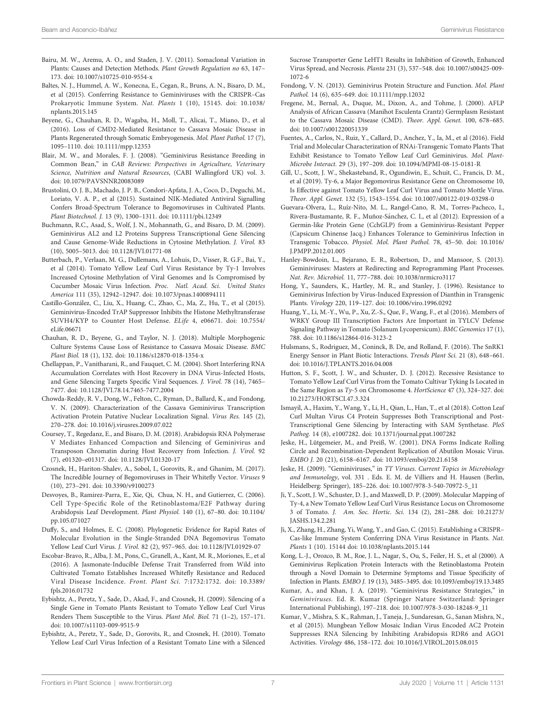- <span id="page-6-0"></span>Bairu, M. W., Aremu, A. O., and Staden, J. V. (2011). Somaclonal Variation in Plants: Causes and Detection Methods. Plant Growth Regulation no 63, 147– 173. doi: [10.1007/s10725-010-9554-x](https://doi.org/10.1007/s10725-010-9554-x)
- Baltes, N. J., Hummel, A. W., Konecna, E., Cegan, R., Bruns, A. N., Bisaro, D. M., et al (2015). Conferring Resistance to Geminiviruses with the CRISPR–Cas Prokaryotic Immune System. Nat. Plants 1 (10), 15145. doi: [10.1038/](https://doi.org/10.1038/nplants.2015.145) [nplants.2015.145](https://doi.org/10.1038/nplants.2015.145)
- Beyene, G., Chauhan, R. D., Wagaba, H., Moll, T., Alicai, T., Miano, D., et al (2016). Loss of CMD2-Mediated Resistance to Cassava Mosaic Disease in Plants Regenerated through Somatic Embryogenesis. Mol. Plant Pathol. 17 (7), 1095–1110. doi: [10.1111/mpp.12353](https://doi.org/10.1111/mpp.12353)
- Blair, M. W., and Morales, F. J. (2008). "Geminivirus Resistance Breeding in Common Bean," in CAB Reviews: Perspectives in Agriculture, Veterinary Science, Nutrition and Natural Resources, (CABI Wallingford UK) vol. 3. doi: [10.1079/PAVSNNR20083089](https://doi.org/10.1079/PAVSNNR20083089)
- Brustolini, O. J. B., Machado, J. P. B., Condori-Apfata, J. A., Coco, D., Deguchi, M., Loriato, V. A. P., et al (2015). Sustained NIK-Mediated Antiviral Signalling Confers Broad-Spectrum Tolerance to Begomoviruses in Cultivated Plants. Plant Biotechnol. J. 13 (9), 1300–1311. doi: [10.1111/pbi.12349](https://doi.org/10.1111/pbi.12349)
- Buchmann, R.C., Asad, S., Wolf, J. N., Mohannath, G., and Bisaro, D. M. (2009). Geminivirus AL2 and L2 Proteins Suppress Transcriptional Gene Silencing and Cause Genome-Wide Reductions in Cytosine Methylation. J. Virol. 83 (10), 5005–5013. doi: [10.1128/JVI.01771-08](https://doi.org/10.1128/JVI.01771-08)
- Butterbach, P., Verlaan, M. G., Dullemans, A., Lohuis, D., Visser, R. G.F., Bai, Y., et al (2014). Tomato Yellow Leaf Curl Virus Resistance by Ty-1 Involves Increased Cytosine Methylation of Viral Genomes and Is Compromised by Cucumber Mosaic Virus Infection. Proc. Natl. Acad. Sci. United States America 111 (35), 12942–12947. doi: [10.1073/pnas.1400894111](https://doi.org/10.1073/pnas.1400894111)
- Castillo-González, C., Liu, X., Huang, C., Zhao, C., Ma, Z., Hu, T., et al (2015). Geminivirus-Encoded TrAP Suppressor Inhibits the Histone Methyltransferase SUVH4/KYP to Counter Host Defense. ELife 4, e06671. doi: [10.7554/](https://doi.org/10.7554/eLife.06671) [eLife.06671](https://doi.org/10.7554/eLife.06671)
- Chauhan, R. D., Beyene, G., and Taylor, N. J. (2018). Multiple Morphogenic Culture Systems Cause Loss of Resistance to Cassava Mosaic Disease. BMC Plant Biol. 18 (1), 132. doi: [10.1186/s12870-018-1354-x](https://doi.org/10.1186/s12870-018-1354-x)
- Chellappan, P., Vanitharani, R., and Fauquet, C. M. (2004). Short Interfering RNA Accumulation Correlates with Host Recovery in DNA Virus-Infected Hosts, and Gene Silencing Targets Specific Viral Sequences. J. Virol. 78 (14), 7465– 7477. doi: [10.1128/JVI.78.14.7465-7477.2004](https://doi.org/10.1128/JVI.78.14.7465-7477.2004)
- Chowda-Reddy, R. V., Dong, W., Felton, C., Ryman, D., Ballard, K., and Fondong, V. N. (2009). Characterization of the Cassava Geminivirus Transcription Activation Protein Putative Nuclear Localization Signal. Virus Res. 145 (2), 270–278. doi: [10.1016/j.virusres.2009.07.022](https://doi.org/10.1016/j.virusres.2009.07.022)
- Coursey, T., Regedanz, E., and Bisaro, D. M. (2018). Arabidopsis RNA Polymerase V Mediates Enhanced Compaction and Silencing of Geminivirus and Transposon Chromatin during Host Recovery from Infection. J. Virol. 92 (7), e01320–e01317. doi: [10.1128/JVI.01320-17](https://doi.org/10.1128/JVI.01320-17)
- Czosnek, H., Hariton-Shalev, A., Sobol, I., Gorovits, R., and Ghanim, M. (2017). The Incredible Journey of Begomoviruses in Their Whitefly Vector. Viruses 9 (10), 273–291. doi: [10.3390/v9100273](https://doi.org/10.3390/v9100273)
- Desvoyes, B., Ramirez-Parra, E., Xie, Qi, Chua, N. H., and Gutierrez, C. (2006). Cell Type-Specific Role of the Retinoblastoma/E2F Pathway during Arabidopsis Leaf Development. Plant Physiol. 140 (1), 67–80. doi: [10.1104/](https://doi.org/10.1104/pp.105.071027) [pp.105.071027](https://doi.org/10.1104/pp.105.071027)
- Duffy, S., and Holmes, E. C. (2008). Phylogenetic Evidence for Rapid Rates of Molecular Evolution in the Single-Stranded DNA Begomovirus Tomato Yellow Leaf Curl Virus. J. Virol. 82 (2), 957–965. doi: [10.1128/JVI.01929-07](https://doi.org/10.1128/JVI.01929-07)
- Escobar-Bravo, R., Alba, J. M., Pons, C., Granell, A., Kant, M. R., Moriones, E., et al (2016). A Jasmonate-Inducible Defense Trait Transferred from Wild into Cultivated Tomato Establishes Increased Whitefly Resistance and Reduced Viral Disease Incidence. Front. Plant Sci. 7:1732:1732. doi: [10.3389/](https://doi.org/10.3389/fpls.2016.01732) [fpls.2016.01732](https://doi.org/10.3389/fpls.2016.01732)
- Eybishtz, A., Peretz, Y., Sade, D., Akad, F., and Czosnek, H. (2009). Silencing of a Single Gene in Tomato Plants Resistant to Tomato Yellow Leaf Curl Virus Renders Them Susceptible to the Virus. Plant Mol. Biol. 71 (1–2), 157–171. doi: [10.1007/s11103-009-9515-9](https://doi.org/10.1007/s11103-009-9515-9)
- Eybishtz, A., Peretz, Y., Sade, D., Gorovits, R., and Czosnek, H. (2010). Tomato Yellow Leaf Curl Virus Infection of a Resistant Tomato Line with a Silenced

Sucrose Transporter Gene LeHT1 Results in Inhibition of Growth, Enhanced Virus Spread, and Necrosis. Planta 231 (3), 537–548. doi: [10.1007/s00425-009-](https://doi.org/10.1007/s00425-009-1072-6) [1072-6](https://doi.org/10.1007/s00425-009-1072-6)

- Fondong, V. N. (2013). Geminivirus Protein Structure and Function. Mol. Plant Pathol. 14 (6), 635–649. doi: [10.1111/mpp.12032](https://doi.org/10.1111/mpp.12032)
- Fregene, M., Bernal, A., Duque, M., Dixon, A., and Tohme, J. (2000). AFLP Analysis of African Cassava (Manihot Esculenta Crantz) Germplasm Resistant to the Cassava Mosaic Disease (CMD). Theor. Appl. Genet. 100, 678–685. doi: [10.1007/s001220051339](https://doi.org/10.1007/s001220051339)
- Fuentes, A., Carlos, N., Ruiz, Y., Callard, D., Anchez, Y., Ia, M., et al (2016). Field Trial and Molecular Characterization of RNAi-Transgenic Tomato Plants That Exhibit Resistance to Tomato Yellow Leaf Curl Geminivirus. Mol. Plant-Microbe Interact. 29 (3), 197–209. doi: [10.1094/MPMI-08-15-0181-R](https://doi.org/10.1094/MPMI-08-15-0181-R)
- Gill, U., Scott, J. W., Shekasteband, R., Ogundiwin, E., Schuit, C., Francis, D. M., et al (2019). Ty-6, a Major Begomovirus Resistance Gene on Chromosome 10, Is Effective against Tomato Yellow Leaf Curl Virus and Tomato Mottle Virus. Theor. Appl. Genet. 132 (5), 1543–1554. doi: [10.1007/s00122-019-03298-0](https://doi.org/10.1007/s00122-019-03298-0)
- Guevara-Olvera, L., Rúız-Nito, M. L., Rangel-Cano, R. M., Torres-Pacheco, I., Rivera-Bustamante, R. F., Muñoz-Sánchez, C. I., et al (2012). Expression of a Germin-like Protein Gene (CchGLP) from a Geminivirus-Resistant Pepper (Capsicum Chinense Jacq.) Enhances Tolerance to Geminivirus Infection in Transgenic Tobacco. Physiol. Mol. Plant Pathol. 78, 45–50. doi: [10.1016/](https://doi.org/10.1016/J.PMPP.2012.01.005) [J.PMPP.2012.01.005](https://doi.org/10.1016/J.PMPP.2012.01.005)
- Hanley-Bowdoin, L., Bejarano, E. R., Robertson, D., and Mansoor, S. (2013). Geminiviruses: Masters at Redirecting and Reprogramming Plant Processes. Nat. Rev. Microbiol. 11, 777–788. doi: [10.1038/nrmicro3117](https://doi.org/10.1038/nrmicro3117)
- Hong, Y., Saunders, K., Hartley, M. R., and Stanley, J. (1996). Resistance to Geminivirus Infection by Virus-Induced Expression of Dianthin in Transgenic Plants. Virology 220, 119–127. doi: [10.1006/viro.1996.0292](https://doi.org/10.1006/viro.1996.0292)
- Huang, Y., Li, M.-Y., Wu, P., Xu, Z.-S., Que, F., Wang, F., et al (2016). Members of WRKY Group III Transcription Factors Are Important in TYLCV Defense Signaling Pathway in Tomato (Solanum Lycopersicum). BMC Genomics 17 (1), 788. doi: [10.1186/s12864-016-3123-2](https://doi.org/10.1186/s12864-016-3123-2)
- Hulsmans, S., Rodriguez, M., Coninck, B. De, and Rolland, F. (2016). The SnRK1 Energy Sensor in Plant Biotic Interactions. Trends Plant Sci. 21 (8), 648–661. doi: [10.1016/J.TPLANTS.2016.04.008](https://doi.org/10.1016/J.TPLANTS.2016.04.008)
- Hutton, S. F., Scott, J. W., and Schuster, D. J. (2012). Recessive Resistance to Tomato Yellow Leaf Curl Virus from the Tomato Cultivar Tyking Is Located in the Same Region as Ty-5 on Chromosome 4. HortScience 47 (3), 324–327. doi: [10.21273/HORTSCI.47.3.324](https://doi.org/10.21273/HORTSCI.47.3.324)
- Ismayil, A., Haxim, Y., Wang, Y., Li, H., Qian, L., Han, T., et al (2018). Cotton Leaf Curl Multan Virus C4 Protein Suppresses Both Transcriptional and Post-Transcriptional Gene Silencing by Interacting with SAM Synthetase. PloS Pathog. 14 (8), e1007282. doi: [10.1371/journal.ppat.1007282](https://doi.org/10.1371/journal.ppat.1007282)
- Jeske, H., Lütgemeier, M., and Preiß, W. (2001). DNA Forms Indicate Rolling Circle and Recombination-Dependent Replication of Abutilon Mosaic Virus. EMBO J. 20 (21), 6158–6167. doi: [10.1093/emboj/20.21.6158](https://doi.org/10.1093/emboj/20.21.6158)
- Jeske, H. (2009). "Geminiviruses," in TT Viruses. Current Topics in Microbiology and Immunology, vol. 331 . Eds. E. M. de Villiers and H. Hausen (Berlin, Heidelberg: Springer), 185–226. doi: [10.1007/978-3-540-70972-5\\_11](https://doi.org/10.1007/978-3-540-70972-5_11)
- Ji, Y., Scott, J. W., Schuster, D. J., and Maxwell, D. P. (2009). Molecular Mapping of Ty-4, a New Tomato Yellow Leaf Curl Virus Resistance Locus on Chromosome 3 of Tomato. J. Am. Soc. Hortic. Sci. 134 (2), 281–288. doi: [10.21273/](https://doi.org/10.21273/JASHS.134.2.281) [JASHS.134.2.281](https://doi.org/10.21273/JASHS.134.2.281)
- Ji, X., Zhang, H., Zhang, Yi, Wang, Y., and Gao, C. (2015). Establishing a CRISPR– Cas-like Immune System Conferring DNA Virus Resistance in Plants. Nat. Plants 1 (10). 15144 doi: [10.1038/nplants.2015.144](https://doi.org/10.1038/nplants.2015.144)
- Kong, L.-J., Orozco, B. M., Roe, J. L., Nagar, S., Ou, S., Feiler, H. S., et al (2000). A Geminivirus Replication Protein Interacts with the Retinoblastoma Protein through a Novel Domain to Determine Symptoms and Tissue Specificity of Infection in Plants. EMBO J. 19 (13), 3485–3495. doi: [10.1093/emboj/19.13.3485](https://doi.org/10.1093/emboj/19.13.3485)
- Kumar, A., and Khan, J. A. (2019). "Geminivirus Resistance Strategies," in Geminiviruses. Ed. R. Kumar (Springer Nature Switzerland: Springer International Publishing), 197–218. doi: [10.1007/978-3-030-18248-9\\_11](https://doi.org/10.1007/978-3-030-18248-9_11)
- Kumar, V., Mishra, S. K., Rahman, J., Taneja, J., Sundaresan, G., Sanan Mishra, N., et al (2015). Mungbean Yellow Mosaic Indian Virus Encoded AC2 Protein Suppresses RNA Silencing by Inhibiting Arabidopsis RDR6 and AGO1 Activities. Virology 486, 158–172. doi: [10.1016/J.VIROL.2015.08.015](https://doi.org/10.1016/J.VIROL.2015.08.015)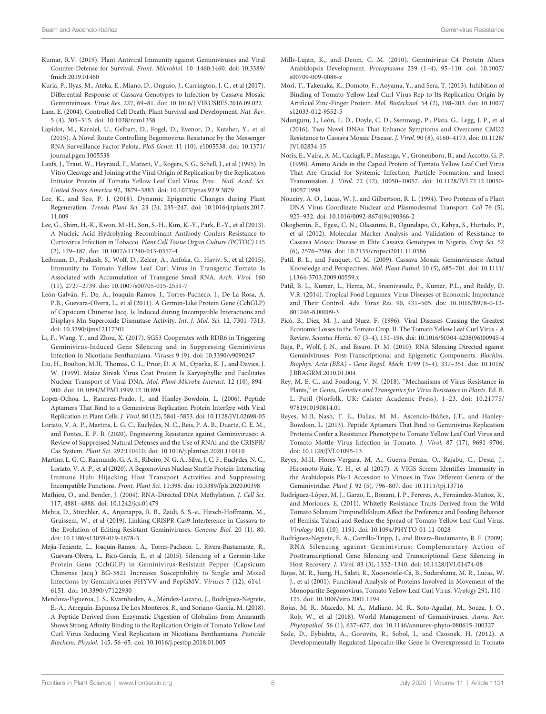- <span id="page-7-0"></span>Kumar, R.V. (2019). Plant Antiviral Immunity against Geminiviruses and Viral Counter-Defense for Survival. Front. Microbiol. 10 :1460:1460. doi: [10.3389/](https://doi.org/10.3389/fmicb.2019.01460) [fmicb.2019.01460](https://doi.org/10.3389/fmicb.2019.01460)
- Kuria, P., Ilyas, M., Ateka, E., Miano, D., Onguso, J., Carrington, J. C., et al (2017). Differential Response of Cassava Genotypes to Infection by Cassava Mosaic Geminiviruses. Virus Res. 227, 69–81. doi: [10.1016/J.VIRUSRES.2016.09.022](https://doi.org/10.1016/J.VIRUSRES.2016.09.022)
- Lam, E. (2004). Controlled Cell Death, Plant Survival and Development. Nat. Rev. 5 (4), 305–315. doi: [10.1038/nrm1358](https://doi.org/10.1038/nrm1358)
- Lapidot, M., Karniel, U., Gelbart, D., Fogel, D., Evenor, D., Kutsher, Y., et al (2015). A Novel Route Controlling Begomovirus Resistance by the Messenger RNA Surveillance Factor Pelota. PloS Genet. 11 (10), e1005538. doi: [10.1371/](https://doi.org/10.1371/journal.pgen.1005538) [journal.pgen.1005538](https://doi.org/10.1371/journal.pgen.1005538)
- Laufs, J., Traut, W., Heyraud, F., Matzeit, V., Rogers, S. G., Schell, J., et al (1995). In Vitro Cleavage and Joining at the Viral Origin of Replication by the Replication Initiator Protein of Tomato Yellow Leaf Curl Virus. Proc. Natl. Acad. Sci. United States America 92, 3879–3883. doi: [10.1073/pnas.92.9.3879](https://doi.org/10.1073/pnas.92.9.3879)
- Lee, K., and Seo, P. J. (2018). Dynamic Epigenetic Changes during Plant Regeneration. Trends Plant Sci. 23 (3), 235–247. doi: [10.1016/j.tplants.2017.](https://doi.org/10.1016/j.tplants.2017.11.009) [11.009](https://doi.org/10.1016/j.tplants.2017.11.009)
- Lee, G., Shim, H.-K., Kwon, M.-H., Son, S.-H., Kim, K.-Y., Park, E.-Y., et al (2013). A Nucleic Acid Hydrolyzing Recombinant Antibody Confers Resistance to Curtovirus Infection in Tobacco. Plant Cell Tissue Organ Culture (PCTOC) 115 (2), 179–187. doi: [10.1007/s11240-013-0357-4](https://doi.org/10.1007/s11240-013-0357-4)
- Leibman, D., Prakash, S., Wolf, D., Zelcer, A., Anfoka, G., Haviv, S., et al (2015). Immunity to Tomato Yellow Leaf Curl Virus in Transgenic Tomato Is Associated with Accumulation of Transgene Small RNA. Arch. Virol. 160 (11), 2727–2739. doi: [10.1007/s00705-015-2551-7](https://doi.org/10.1007/s00705-015-2551-7)
- León-Galván, F., De, A., Joaquín-Ramos, J., Torres-Pacheco, I., De La Rosa, A. P.B., Guevara-Olvera, L., et al (2011). A Germin-Like Protein Gene (CchGLP) of Capsicum Chinense Jacq. Is Induced during Incompatible Interactions and Displays Mn-Superoxide Dismutase Activity. Int. J. Mol. Sci. 12, 7301–7313. doi: [10.3390/ijms12117301](https://doi.org/10.3390/ijms12117301)
- Li, F., Wang, Y., and Zhou, X. (2017). SGS3 Cooperates with RDR6 in Triggering Geminivirus-Induced Gene Silencing and in Suppressing Geminivirus Infection in Nicotiana Benthamiana. Viruses 9 (9). doi: [10.3390/v9090247](https://doi.org/10.3390/v9090247)
- Liu, H., Boulton, M.II, Thomas, C. L., Prior, D. A. M., Oparka, K. J., and Davies, J. W. (1999). Maize Streak Virus Coat Protein Is Karyophyllic and Facilitates Nuclear Transport of Viral DNA. Mol. Plant-Microbe Interact. 12 (10), 894– 900. doi: [10.1094/MPMI.1999.12.10.894](https://doi.org/10.1094/MPMI.1999.12.10.894)
- Lopez-Ochoa, L., Ramirez-Prado, J., and Hanley-Bowdoin, L. (2006). Peptide Aptamers That Bind to a Geminivirus Replication Protein Interfere with Viral Replication in Plant Cells. J. Virol. 80 (12), 5841–5853. doi: [10.1128/JVI.02698-05](https://doi.org/10.1128/JVI.02698-05)
- Loriato, V. A. P., Martins, L. G. C., Euclydes, N. C., Reis, P. A. B., Duarte, C. E. M., and Fontes, E. P. B. (2020). Engineering Resistance against Geminiviruses: A Review of Suppressed Natural Defenses and the Use of RNAi and the CRISPR/ Cas System. Plant Sci. 292:110410. doi: [10.1016/j.plantsci.2020.110410](https://doi.org/10.1016/j.plantsci.2020.110410)
- Martins, L. G. C., Raimundo, G. A. S., Ribeiro, N. G. A., Silva, J. C. F., Euclydes, N. C., Loriato, V. A. P., et al (2020). A Begomovirus Nuclear Shuttle Protein-Interacting Immune Hub: Hijacking Host Transport Activities and Suppressing Incompatible Functions. Front. Plant Sci. 11:398. doi: [10.3389/fpls.2020.00398](https://doi.org/10.3389/fpls.2020.00398)
- Mathieu, O., and Bender, J. (2004). RNA-Directed DNA Methylation. J. Cell Sci. 117, 4881–4888. doi: [10.1242/jcs.01479](https://doi.org/10.1242/jcs.01479)
- Mehta, D., Stürchler, A., Anjanappa, R. B., Zaidi, S. S.-e., Hirsch-Hoffmann, M., Gruissem, W., et al (2019). Linking CRISPR-Cas9 Interference in Cassava to the Evolution of Editing-Resistant Geminiviruses. Genome Biol. 20 (1), 80. doi: [10.1186/s13059-019-1678-3](https://doi.org/10.1186/s13059-019-1678-3)
- Mej́ıa-Teniente, L., Joaquin-Ramos, A., Torres-Pacheco, I., Rivera-Bustamante, R., Guevara-Olvera, L., Rico-Garćıa, E., et al (2015). Silencing of a Germin-Like Protein Gene (CchGLP) in Geminivirus-Resistant Pepper (Capsicum Chinense Jacq.) BG-3821 Increases Susceptibility to Single and Mixed Infections by Geminiviruses PHYVV and PepGMV. Viruses 7 (12), 6141– 6151. doi: [10.3390/v7122930](https://doi.org/10.3390/v7122930)
- Mendoza-Figueroa, J. S., Kvarnheden, A., Méndez-Lozano, J., Rodríguez-Negrete, E.-A., Arreguín-Espinosa De Los Monteros, R., and Soriano-García, M. (2018). A Peptide Derived from Enzymatic Digestion of Globulins from Amaranth Shows Strong Affinity Binding to the Replication Origin of Tomato Yellow Leaf Curl Virus Reducing Viral Replication in Nicotiana Benthamiana. Pesticide Biochem. Physiol. 145, 56–65. doi: [10.1016/j.pestbp.2018.01.005](https://doi.org/10.1016/j.pestbp.2018.01.005)
- Mills-Lujan, K., and Deom, C. M. (2010). Geminivirus C4 Protein Alters Arabidopsis Development. Protoplasma 239 (1–4), 95–110. doi: [10.1007/](https://doi.org/10.1007/s00709-009-0086-z) [s00709-009-0086-z](https://doi.org/10.1007/s00709-009-0086-z)
- Mori, T., Takenaka, K., Domoto, F., Aoyama, Y., and Sera, T. (2013). Inhibition of Binding of Tomato Yellow Leaf Curl Virus Rep to Its Replication Origin by Artificial Zinc-Finger Protein. Mol. Biotechnol. 54 (2), 198–203. doi: [10.1007/](https://doi.org/10.1007/s12033-012-9552-5) [s12033-012-9552-5](https://doi.org/10.1007/s12033-012-9552-5)
- Ndunguru, J., León, L. D., Doyle, C. D., Sseruwagi, P., Plata, G., Legg, J. P., et al (2016). Two Novel DNAs That Enhance Symptoms and Overcome CMD2 Resistance to Cassava Mosaic Disease. J. Virol. 90 (8), 4160–4173. doi: [10.1128/](https://doi.org/10.1128/JVI.02834-15) [JVI.02834-15](https://doi.org/10.1128/JVI.02834-15)
- Noris, E., Vaira, A. M., Caciagli, P., Masenga, V., Gronenborn, B., and Accotto, G. P. (1998). Amino Acids in the Capsid Protein of Tomato Yellow Leaf Curl Virus That Are Crucial for Systemic Infection, Particle Formation, and Insect Transmission. J. Virol. 72 (12), 10050–10057. doi: [10.1128/JVI.72.12.10050-](https://doi.org/10.1128/JVI.72.12.10050-10057.1998) [10057.1998](https://doi.org/10.1128/JVI.72.12.10050-10057.1998)
- Noueiry, A. O., Lucas, W. J., and Gilbertson, R. L. (1994). Two Proteins of a Plant DNA Virus Coordinate Nuclear and Plasmodesmal Transport. Cell 76 (5), 925–932. doi: [10.1016/0092-8674\(94\)90366-2](https://doi.org/10.1016/0092-8674(94)90366-2)
- Okogbenin, E., Egesi, C. N., Olasanmi, B., Ogundapo, O., Kahya, S., Hurtado, P., et al (2012). Molecular Marker Analysis and Validation of Resistance to Cassava Mosaic Disease in Elite Cassava Genotypes in Nigeria. Crop Sci. 52 (6), 2576–2586. doi: [10.2135/cropsci2011.11.0586](https://doi.org/10.2135/cropsci2011.11.0586)
- Patil, B. L., and Fauquet, C. M. (2009). Cassava Mosaic Geminiviruses: Actual Knowledge and Perspectives. Mol. Plant Pathol. 10 (5), 685–701. doi: [10.1111/](https://doi.org/10.1111/j.1364-3703.2009.00559.x) [j.1364-3703.2009.00559.x](https://doi.org/10.1111/j.1364-3703.2009.00559.x)
- Patil, B. L., Kumar, L., Hema, M., Sreenivasulu, P., Kumar, P.L., and Reddy, D. V.R. (2014). Tropical Food Legumes: Virus Diseases of Economic Importance and Their Control. Adv. Virus Res. 90, 431–505. doi: [10.1016/B978-0-12-](https://doi.org/10.1016/B978-0-12-801246-8.00009-3) [801246-8.00009-3](https://doi.org/10.1016/B978-0-12-801246-8.00009-3)
- Picó, B., Díez, M. J., and Nuez, F. (1996). Viral Diseases Causing the Greatest Economic Losses to the Tomato Crop. II. The Tomato Yellow Leaf Curl Virus - A Review. Scientia Hortic. 67 (3–4), 151–196. doi: [10.1016/S0304-4238\(96\)00945-4](https://doi.org/10.1016/S0304-4238(96)00945-4)
- Raja, P., Wolf, J. N., and Bisaro, D. M. (2010). RNA Silencing Directed against Geminiviruses: Post-Transcriptional and Epigenetic Components. Biochim. Biophys. Acta (BBA) - Gene Regul. Mech. 1799 (3–4), 337–351. doi: [10.1016/](https://doi.org/10.1016/J.BBAGRM.2010.01.004) [J.BBAGRM.2010.01.004](https://doi.org/10.1016/J.BBAGRM.2010.01.004)
- Rey, M. E. C., and Fondong, V. N. (2018). "Mechanisms of Virus Resistance in Plants," in Genes, Genetics and Transgenics for Virus Resistance in Plants. Ed. B. L. Patil (Norfolk, UK: Caister Academic Press), 1–23. doi: [10.21775/](https://doi.org/10.21775/9781910190814.01) [9781910190814.01](https://doi.org/10.21775/9781910190814.01)
- Reyes, M.II, Nash, T. E., Dallas, M. M., Ascencio-Ibáñez, J.T., and Hanley-Bowdoin, L. (2013). Peptide Aptamers That Bind to Geminivirus Replication Proteins Confer a Resistance Phenotype to Tomato Yellow Leaf Curl Virus and Tomato Mottle Virus Infection in Tomato. J. Virol. 87 (17), 9691–9706. doi: [10.1128/JVI.01095-13](https://doi.org/10.1128/JVI.01095-13)
- Reyes, M.II, Flores-Vergara, M. A., Guerra-Peraza, O., Rajabu, C., Desai, J., Hiromoto-Ruiz, Y. H., et al (2017). A VIGS Screen Identifies Immunity in the Arabidopsis Pla-1 Accession to Viruses in Two Different Genera of the Geminiviridae. Plant J. 92 (5), 796–807. doi: [10.1111/tpj.13716](https://doi.org/10.1111/tpj.13716)
- Rodríguez-López, M. J., Garzo, E., Bonani, J. P., Fereres, A., Fernández-Muñoz, R., and Moriones, E. (2011). Whitefly Resistance Traits Derived from the Wild Tomato Solanum Pimpinellifolium Affect the Preference and Feeding Behavior of Bemisia Tabaci and Reduce the Spread of Tomato Yellow Leaf Curl Virus. Virology 101 (10), 1191. doi: [10.1094/PHYTO-01-11-0028](https://doi.org/10.1094/PHYTO-01-11-0028)
- Rodríguez-Negrete, E. A., Carrillo-Tripp, J., and Rivera-Bustamante, R. F. (2009). RNA Silencing against Geminivirus: Complementary Action of Posttranscriptional Gene Silencing and Transcriptional Gene Silencing in Host Recovery. J. Virol. 83 (3), 1332–1340. doi: [10.1128/JVI.01474-08](https://doi.org/10.1128/JVI.01474-08)
- Rojas, M. R., Jiang, H., Salati, R., Xoconostle-Cá, B., Sudarshana, M. R., Lucas, W. J., et al (2001). Functional Analysis of Proteins Involved in Movement of the Monopartite Begomovirus, Tomato Yellow Leaf Curl Virus. Virology 291, 110– 125. doi: [10.1006/viro.2001.1194](https://doi.org/10.1006/viro.2001.1194)
- Rojas, M. R., Macedo, M. A., Maliano, M. R., Soto-Aguilar, M., Souza, J. O., Rob, W., et al (2018). World Management of Geminiviruses. Annu. Rev. Phytopathol. 56 (1), 637–677. doi: [10.1146/annurev-phyto-080615-100327](https://doi.org/10.1146/annurev-phyto-080615-100327)
- Sade, D., Eybishtz, A., Gorovits, R., Sobol, I., and Czosnek, H. (2012). A Developmentally Regulated Lipocalin-like Gene Is Overexpressed in Tomato